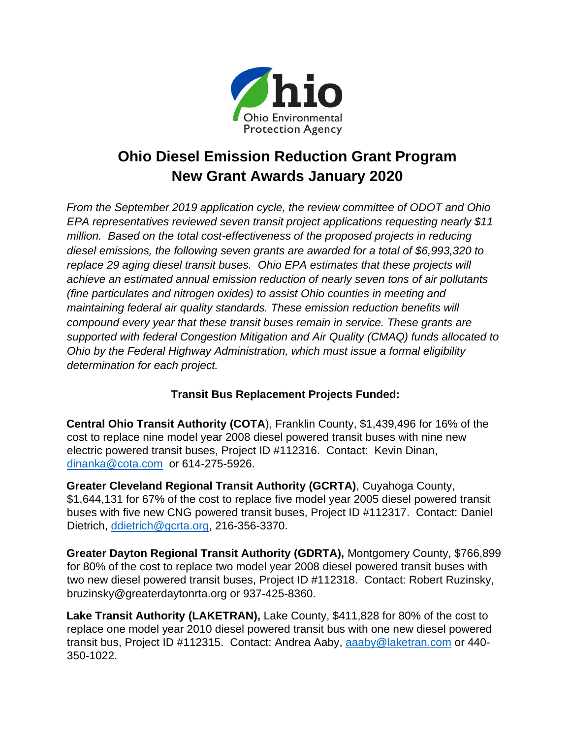

## **Ohio Diesel Emission Reduction Grant Program New Grant Awards January 2020**

*From the September 2019 application cycle, the review committee of ODOT and Ohio EPA representatives reviewed seven transit project applications requesting nearly \$11 million. Based on the total cost-effectiveness of the proposed projects in reducing diesel emissions, the following seven grants are awarded for a total of \$6,993,320 to replace 29 aging diesel transit buses. Ohio EPA estimates that these projects will achieve an estimated annual emission reduction of nearly seven tons of air pollutants (fine particulates and nitrogen oxides) to assist Ohio counties in meeting and maintaining federal air quality standards. These emission reduction benefits will compound every year that these transit buses remain in service. These grants are supported with federal Congestion Mitigation and Air Quality (CMAQ) funds allocated to Ohio by the Federal Highway Administration, which must issue a formal eligibility determination for each project.* 

## **Transit Bus Replacement Projects Funded:**

**Central Ohio Transit Authority (COTA**), Franklin County, \$1,439,496 for 16% of the cost to replace nine model year 2008 diesel powered transit buses with nine new electric powered transit buses, Project ID #112316. Contact: Kevin Dinan, [dinanka@cota.com](mailto:dinanka@cota.com) or 614-275-5926.

**Greater Cleveland Regional Transit Authority (GCRTA)**, Cuyahoga County, \$1,644,131 for 67% of the cost to replace five model year 2005 diesel powered transit buses with five new CNG powered transit buses, Project ID #112317. Contact: Daniel Dietrich, [ddietrich@gcrta.org,](mailto:ddietrich@gcrta.org) 216-356-3370.

**Greater Dayton Regional Transit Authority (GDRTA),** Montgomery County, \$766,899 for 80% of the cost to replace two model year 2008 diesel powered transit buses with two new diesel powered transit buses, Project ID #112318. Contact: Robert Ruzinsky, bruzinsky@greaterdaytonrta.org or 937-425-8360.

**Lake Transit Authority (LAKETRAN),** Lake County, \$411,828 for 80% of the cost to replace one model year 2010 diesel powered transit bus with one new diesel powered transit bus, Project ID #112315. Contact: Andrea Aaby, [aaaby@laketran.com](mailto:aaaby@laketran.com) or 440- 350-1022.